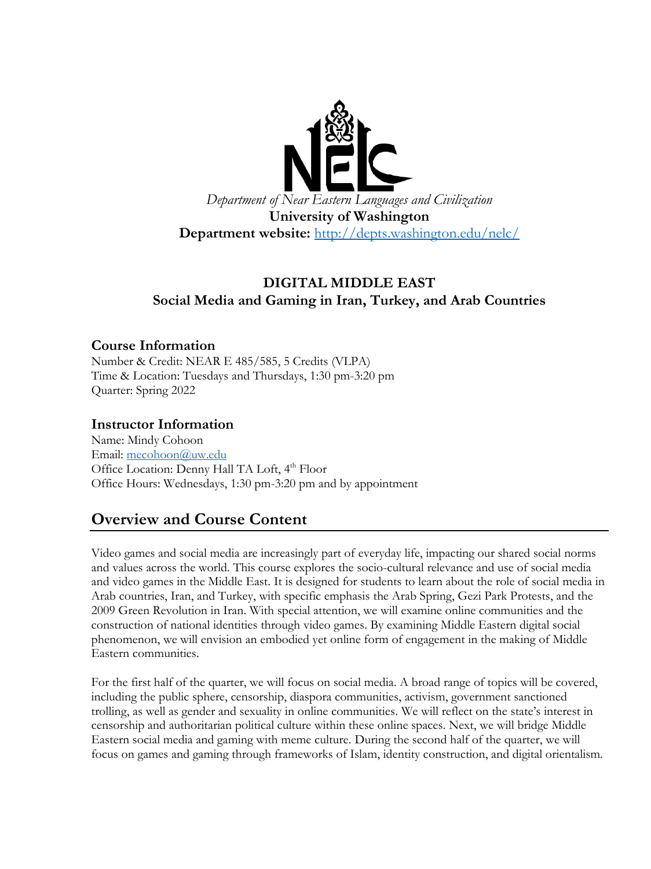

## **DIGITAL MIDDLE EAST Social Media and Gaming in Iran, Turkey, and Arab Countries**

#### **Course Information**

Number & Credit: NEAR E 485/585, 5 Credits (VLPA) Time & Location: Tuesdays and Thursdays, 1:30 pm-3:20 pm Quarter: Spring 2022

#### **Instructor Information**

Name: Mindy Cohoon Email: [mecohoon@uw.edu](mailto:mecohoon@uw.edu) Office Location: Denny Hall TA Loft, 4<sup>th</sup> Floor Office Hours: Wednesdays, 1:30 pm-3:20 pm and by appointment

## **Overview and Course Content**

Video games and social media are increasingly part of everyday life, impacting our shared social norms and values across the world. This course explores the socio-cultural relevance and use of social media and video games in the Middle East. It is designed for students to learn about the role of social media in Arab countries, Iran, and Turkey, with specific emphasis the Arab Spring, Gezi Park Protests, and the 2009 Green Revolution in Iran. With special attention, we will examine online communities and the construction of national identities through video games. By examining Middle Eastern digital social phenomenon, we will envision an embodied yet online form of engagement in the making of Middle Eastern communities.

For the first half of the quarter, we will focus on social media. A broad range of topics will be covered, including the public sphere, censorship, diaspora communities, activism, government sanctioned trolling, as well as gender and sexuality in online communities. We will reflect on the state's interest in censorship and authoritarian political culture within these online spaces. Next, we will bridge Middle Eastern social media and gaming with meme culture. During the second half of the quarter, we will focus on games and gaming through frameworks of Islam, identity construction, and digital orientalism.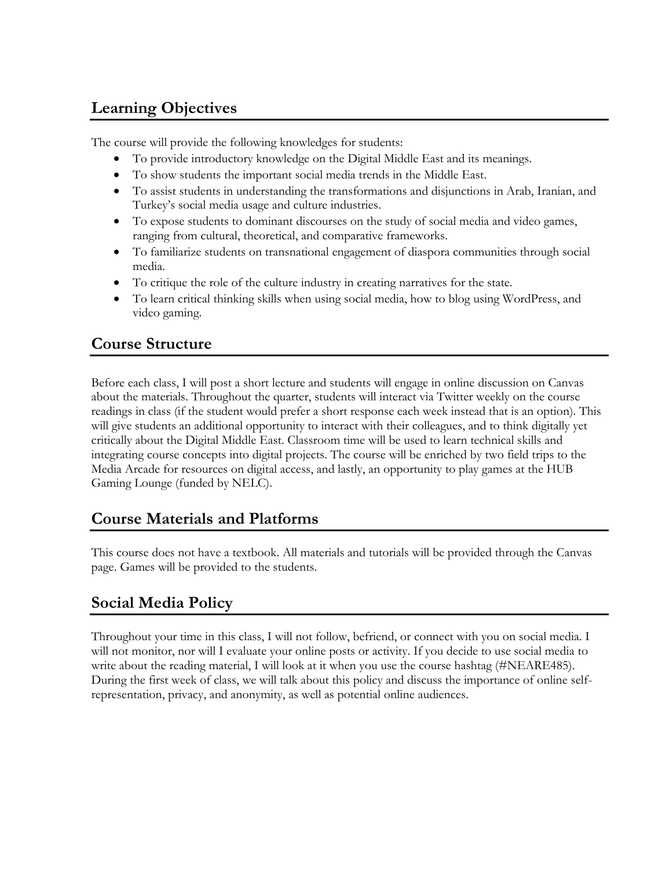# **Learning Objectives**

The course will provide the following knowledges for students:

- To provide introductory knowledge on the Digital Middle East and its meanings.
- To show students the important social media trends in the Middle East.
- To assist students in understanding the transformations and disjunctions in Arab, Iranian, and Turkey's social media usage and culture industries.
- To expose students to dominant discourses on the study of social media and video games, ranging from cultural, theoretical, and comparative frameworks.
- To familiarize students on transnational engagement of diaspora communities through social media.
- To critique the role of the culture industry in creating narratives for the state.
- To learn critical thinking skills when using social media, how to blog using WordPress, and video gaming.

# **Course Structure**

Before each class, I will post a short lecture and students will engage in online discussion on Canvas about the materials. Throughout the quarter, students will interact via Twitter weekly on the course readings in class (if the student would prefer a short response each week instead that is an option). This will give students an additional opportunity to interact with their colleagues, and to think digitally yet critically about the Digital Middle East. Classroom time will be used to learn technical skills and integrating course concepts into digital projects. The course will be enriched by two field trips to the Media Arcade for resources on digital access, and lastly, an opportunity to play games at the HUB Gaming Lounge (funded by NELC).

# **Course Materials and Platforms**

This course does not have a textbook. All materials and tutorials will be provided through the Canvas page. Games will be provided to the students.

# **Social Media Policy**

Throughout your time in this class, I will not follow, befriend, or connect with you on social media. I will not monitor, nor will I evaluate your online posts or activity. If you decide to use social media to write about the reading material, I will look at it when you use the course hashtag (#NEARE485). During the first week of class, we will talk about this policy and discuss the importance of online selfrepresentation, privacy, and anonymity, as well as potential online audiences.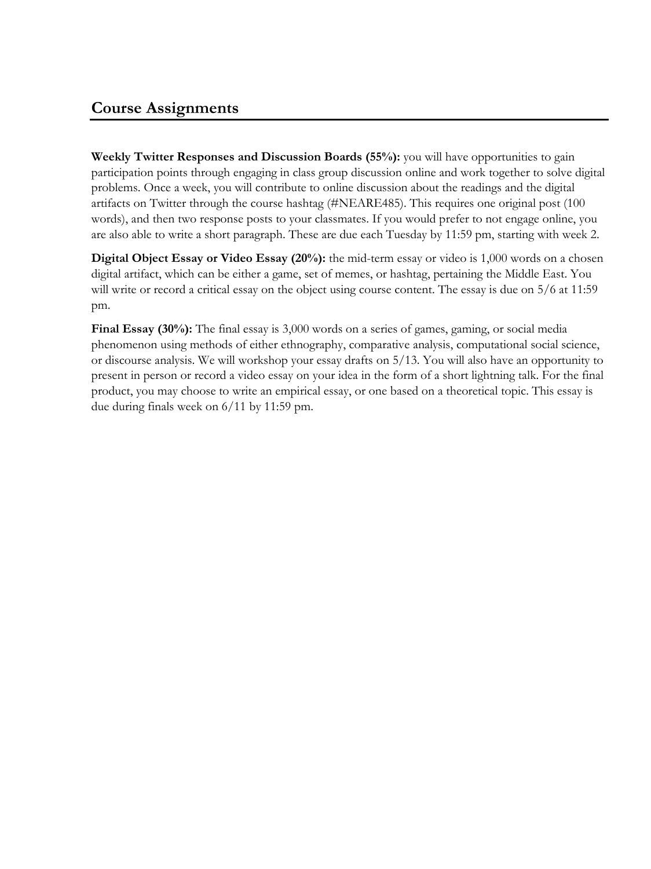**Weekly Twitter Responses and Discussion Boards (55%):** you will have opportunities to gain participation points through engaging in class group discussion online and work together to solve digital problems. Once a week, you will contribute to online discussion about the readings and the digital artifacts on Twitter through the course hashtag (#NEARE485). This requires one original post (100 words), and then two response posts to your classmates. If you would prefer to not engage online, you are also able to write a short paragraph. These are due each Tuesday by 11:59 pm, starting with week 2.

**Digital Object Essay or Video Essay (20%):** the mid-term essay or video is 1,000 words on a chosen digital artifact, which can be either a game, set of memes, or hashtag, pertaining the Middle East. You will write or record a critical essay on the object using course content. The essay is due on  $5/6$  at 11:59 pm.

**Final Essay (30%):** The final essay is 3,000 words on a series of games, gaming, or social media phenomenon using methods of either ethnography, comparative analysis, computational social science, or discourse analysis. We will workshop your essay drafts on 5/13. You will also have an opportunity to present in person or record a video essay on your idea in the form of a short lightning talk. For the final product, you may choose to write an empirical essay, or one based on a theoretical topic. This essay is due during finals week on 6/11 by 11:59 pm.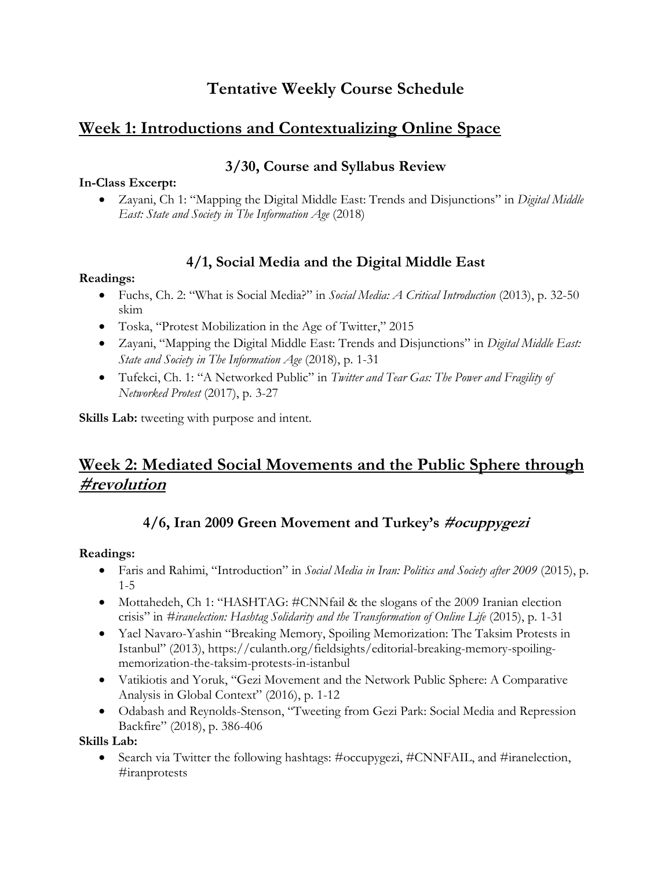# **Tentative Weekly Course Schedule**

## **Week 1: Introductions and Contextualizing Online Space**

### **3/30, Course and Syllabus Review**

#### **In-Class Excerpt:**

• Zayani, Ch 1: "Mapping the Digital Middle East: Trends and Disjunctions" in *Digital Middle East: State and Society in The Information Age* (2018)

### **4/1, Social Media and the Digital Middle East**

#### **Readings:**

- Fuchs, Ch. 2: "What is Social Media?" in *Social Media: A Critical Introduction* (2013), p. 32-50 skim
- Toska, "Protest Mobilization in the Age of Twitter," 2015
- Zayani, "Mapping the Digital Middle East: Trends and Disjunctions" in *Digital Middle East: State and Society in The Information Age* (2018), p. 1-31
- Tufekci, Ch. 1: "A Networked Public" in *Twitter and Tear Gas: The Power and Fragility of Networked Protest* (2017), p. 3-27

**Skills Lab:** tweeting with purpose and intent.

# **Week 2: Mediated Social Movements and the Public Sphere through #revolution**

## **4/6, Iran 2009 Green Movement and Turkey's #ocuppygezi**

#### **Readings:**

- Faris and Rahimi, "Introduction" in *Social Media in Iran: Politics and Society after 2009* (2015), p. 1-5
- Mottahedeh, Ch 1: "HASHTAG: #CNNfail & the slogans of the 2009 Iranian election crisis" in *#iranelection: Hashtag Solidarity and the Transformation of Online Life* (2015), p. 1-31
- Yael Navaro-Yashin "Breaking Memory, Spoiling Memorization: The Taksim Protests in Istanbul" (2013), https://culanth.org/fieldsights/editorial-breaking-memory-spoilingmemorization-the-taksim-protests-in-istanbul
- Vatikiotis and Yoruk, "Gezi Movement and the Network Public Sphere: A Comparative Analysis in Global Context" (2016), p. 1-12
- Odabash and Reynolds-Stenson, "Tweeting from Gezi Park: Social Media and Repression Backfire" (2018), p. 386-406

**Skills Lab:**

• Search via Twitter the following hashtags: #occupygezi, #CNNFAIL, and #iranelection, #iranprotests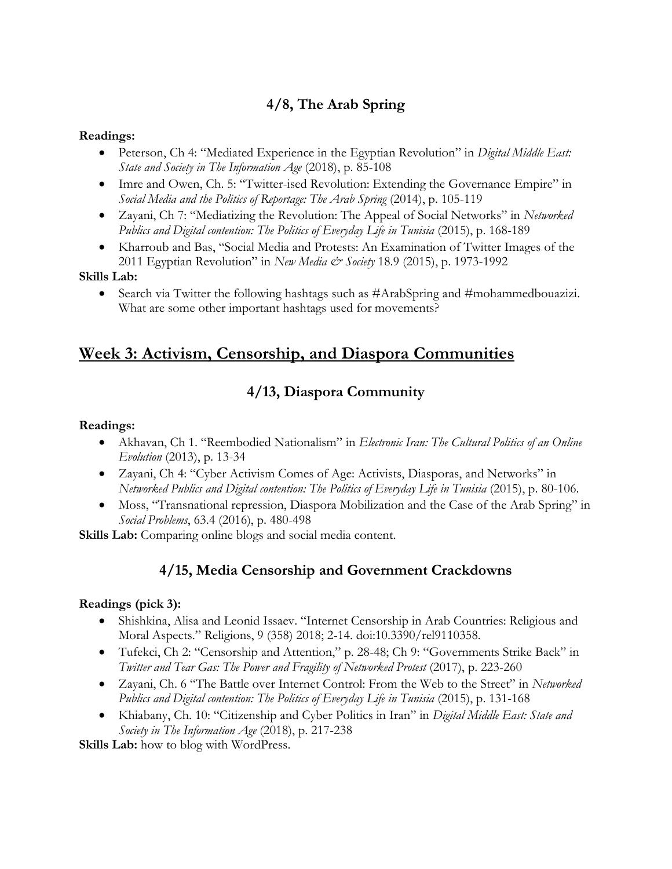## **4/8, The Arab Spring**

#### **Readings:**

- Peterson, Ch 4: "Mediated Experience in the Egyptian Revolution" in *Digital Middle East: State and Society in The Information Age* (2018), p. 85-108
- Imre and Owen, Ch. 5: "Twitter-ised Revolution: Extending the Governance Empire" in *Social Media and the Politics of Reportage: The Arab Spring* (2014), p. 105-119
- Zayani, Ch 7: "Mediatizing the Revolution: The Appeal of Social Networks" in *Networked Publics and Digital contention: The Politics of Everyday Life in Tunisia* (2015), p. 168-189
- Kharroub and Bas, "Social Media and Protests: An Examination of Twitter Images of the 2011 Egyptian Revolution" in *New Media & Society* 18.9 (2015), p. 1973-1992

#### **Skills Lab:**

• Search via Twitter the following hashtags such as #ArabSpring and #mohammedbouazizi. What are some other important hashtags used for movements?

## **Week 3: Activism, Censorship, and Diaspora Communities**

## **4/13, Diaspora Community**

#### **Readings:**

- Akhavan, Ch 1. "Reembodied Nationalism" in *Electronic Iran: The Cultural Politics of an Online Evolution* (2013), p. 13-34
- Zayani, Ch 4: "Cyber Activism Comes of Age: Activists, Diasporas, and Networks" in *Networked Publics and Digital contention: The Politics of Everyday Life in Tunisia* (2015), p. 80-106.
- Moss, "Transnational repression, Diaspora Mobilization and the Case of the Arab Spring" in *Social Problems*, 63.4 (2016), p. 480-498

**Skills Lab:** Comparing online blogs and social media content.

### **4/15, Media Censorship and Government Crackdowns**

#### **Readings (pick 3):**

- Shishkina, Alisa and Leonid Issaev. "Internet Censorship in Arab Countries: Religious and Moral Aspects." Religions, 9 (358) 2018; 2-14. doi:10.3390/rel9110358.
- Tufekci, Ch 2: "Censorship and Attention," p. 28-48; Ch 9: "Governments Strike Back" in *Twitter and Tear Gas: The Power and Fragility of Networked Protest* (2017), p. 223-260
- Zayani, Ch. 6 "The Battle over Internet Control: From the Web to the Street" in *Networked Publics and Digital contention: The Politics of Everyday Life in Tunisia* (2015), p. 131-168
- Khiabany, Ch. 10: "Citizenship and Cyber Politics in Iran" in *Digital Middle East: State and Society in The Information Age* (2018), p. 217-238

**Skills Lab:** how to blog with WordPress.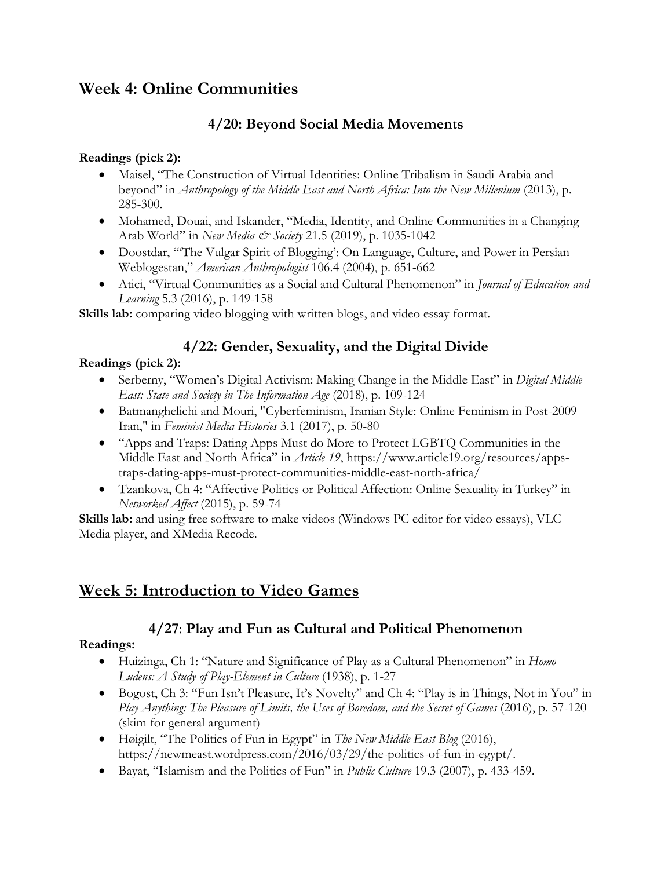# **Week 4: Online Communities**

### **4/20: Beyond Social Media Movements**

#### **Readings (pick 2):**

- Maisel, "The Construction of Virtual Identities: Online Tribalism in Saudi Arabia and beyond" in *Anthropology of the Middle East and North Africa: Into the New Millenium* (2013), p. 285-300.
- Mohamed, Douai, and Iskander, "Media, Identity, and Online Communities in a Changing Arab World" in *New Media & Society* 21.5 (2019), p. 1035-1042
- Doostdar, "'The Vulgar Spirit of Blogging': On Language, Culture, and Power in Persian Weblogestan," *American Anthropologist* 106.4 (2004), p. 651-662
- Atici, "Virtual Communities as a Social and Cultural Phenomenon" in *Journal of Education and Learning* 5.3 (2016), p. 149-158

**Skills lab:** comparing video blogging with written blogs, and video essay format.

## **4/22: Gender, Sexuality, and the Digital Divide**

#### **Readings (pick 2):**

- Serberny, "Women's Digital Activism: Making Change in the Middle East" in *Digital Middle East: State and Society in The Information Age* (2018), p. 109-124
- Batmanghelichi and Mouri, "Cyberfeminism, Iranian Style: Online Feminism in Post-2009 Iran," in *Feminist Media Histories* 3.1 (2017), p. 50-80
- "Apps and Traps: Dating Apps Must do More to Protect LGBTQ Communities in the Middle East and North Africa" in *Article 19*, https://www.article19.org/resources/appstraps-dating-apps-must-protect-communities-middle-east-north-africa/
- Tzankova, Ch 4: "Affective Politics or Political Affection: Online Sexuality in Turkey" in *Networked Affect* (2015), p. 59-74

Skills lab: and using free software to make videos (Windows PC editor for video essays), VLC Media player, and XMedia Recode.

## **Week 5: Introduction to Video Games**

### **4/27**: **Play and Fun as Cultural and Political Phenomenon**

#### **Readings:**

- Huizinga, Ch 1: "Nature and Significance of Play as a Cultural Phenomenon" in *Homo Ludens: A Study of Play-Element in Culture* (1938), p. 1-27
- Bogost, Ch 3: "Fun Isn't Pleasure, It's Novelty" and Ch 4: "Play is in Things, Not in You" in *Play Anything: The Pleasure of Limits, the Uses of Boredom, and the Secret of Games (2016), p.* 57-120 (skim for general argument)
- Høigilt, "The Politics of Fun in Egypt" in *The New Middle East Blog* (2016), https://newmeast.wordpress.com/2016/03/29/the-politics-of-fun-in-egypt/.
- Bayat, "Islamism and the Politics of Fun" in *Public Culture* 19.3 (2007), p. 433-459.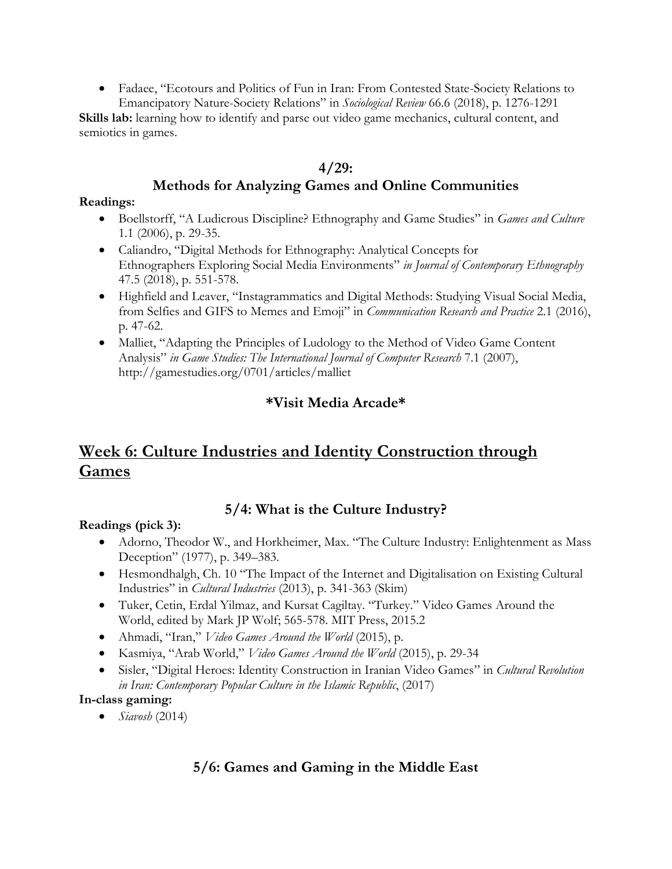• Fadaee, "Ecotours and Politics of Fun in Iran: From Contested State-Society Relations to Emancipatory Nature-Society Relations" in *Sociological Review* 66.6 (2018), p. 1276-1291

Skills lab: learning how to identify and parse out video game mechanics, cultural content, and semiotics in games.

#### **4/29:**

### **Methods for Analyzing Games and Online Communities**

#### **Readings:**

- Boellstorff, "A Ludicrous Discipline? Ethnography and Game Studies" in *Games and Culture* 1.1 (2006), p. 29-35.
- Caliandro, "Digital Methods for Ethnography: Analytical Concepts for Ethnographers Exploring Social Media Environments" *in Journal of Contemporary Ethnography* 47.5 (2018), p. 551-578.
- Highfield and Leaver, "Instagrammatics and Digital Methods: Studying Visual Social Media, from Selfies and GIFS to Memes and Emoji" in *Communication Research and Practice* 2.1 (2016), p. 47-62.
- Malliet, "Adapting the Principles of Ludology to the Method of Video Game Content Analysis" *in Game Studies: The International Journal of Computer Research* 7.1 (2007), http://gamestudies.org/0701/articles/malliet

## **\*Visit Media Arcade\***

# **Week 6: Culture Industries and Identity Construction through Games**

### **5/4: What is the Culture Industry?**

#### **Readings (pick 3):**

- Adorno, Theodor W., and Horkheimer, Max. "The Culture Industry: Enlightenment as Mass Deception" (1977), p. 349–383.
- Hesmondhalgh, Ch. 10 "The Impact of the Internet and Digitalisation on Existing Cultural Industries" in *Cultural Industries* (2013), p. 341-363 (Skim)
- Tuker, Cetin, Erdal Yilmaz, and Kursat Cagiltay. "Turkey." Video Games Around the World, edited by Mark JP Wolf; 565-578. MIT Press, 2015.2
- Ahmadi, "Iran," *Video Games Around the World* (2015), p.
- Kasmiya, "Arab World," *Video Games Around the World* (2015), p. 29-34
- Sisler, "Digital Heroes: Identity Construction in Iranian Video Games" in *Cultural Revolution in Iran: Contemporary Popular Culture in the Islamic Republic*, (2017)

#### **In-class gaming:**

• *Siavosh* (2014)

### **5/6: Games and Gaming in the Middle East**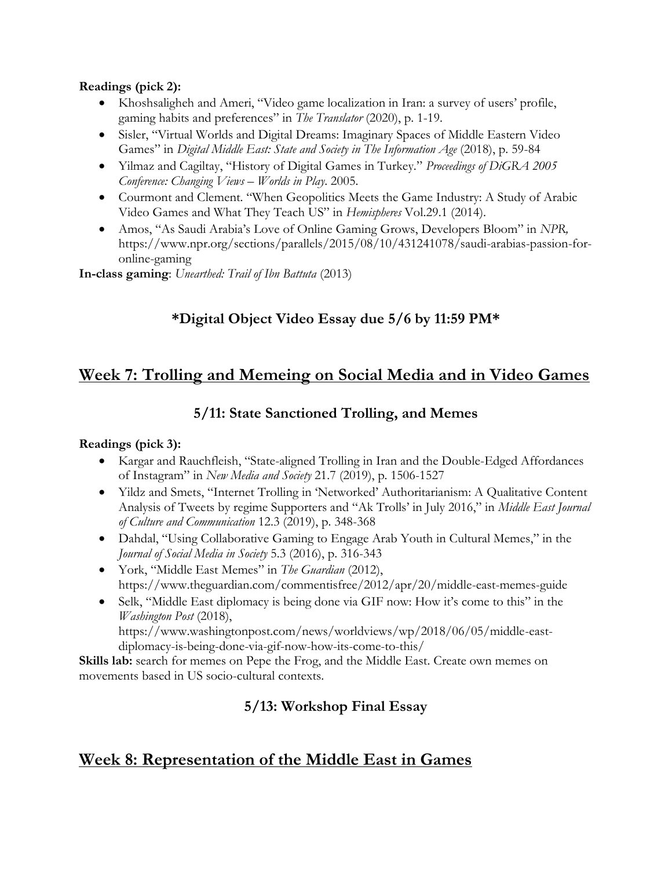#### **Readings (pick 2):**

- Khoshsaligheh and Ameri, "Video game localization in Iran: a survey of users' profile, gaming habits and preferences" in *The Translator* (2020), p. 1-19.
- Sisler, "Virtual Worlds and Digital Dreams: Imaginary Spaces of Middle Eastern Video Games" in *Digital Middle East: State and Society in The Information Age* (2018), p. 59-84
- Yilmaz and Cagiltay, "History of Digital Games in Turkey." *Proceedings of DiGRA 2005 Conference: Changing Views – Worlds in Play*. 2005.
- Courmont and Clement. "When Geopolitics Meets the Game Industry: A Study of Arabic Video Games and What They Teach US" in *Hemispheres* Vol.29.1 (2014).
- Amos, "As Saudi Arabia's Love of Online Gaming Grows, Developers Bloom" in *NPR,* https://www.npr.org/sections/parallels/2015/08/10/431241078/saudi-arabias-passion-foronline-gaming

**In-class gaming**: *Unearthed: Trail of Ibn Battuta* (2013)

## **\*Digital Object Video Essay due 5/6 by 11:59 PM\***

## **Week 7: Trolling and Memeing on Social Media and in Video Games**

### **5/11: State Sanctioned Trolling, and Memes**

#### **Readings (pick 3):**

- Kargar and Rauchfleish, "State-aligned Trolling in Iran and the Double-Edged Affordances of Instagram" in *New Media and Society* 21.7 (2019), p. 1506-1527
- Yildz and Smets, "Internet Trolling in 'Networked' Authoritarianism: A Qualitative Content Analysis of Tweets by regime Supporters and "Ak Trolls' in July 2016," in *Middle East Journal of Culture and Communication* 12.3 (2019), p. 348-368
- Dahdal, "Using Collaborative Gaming to Engage Arab Youth in Cultural Memes," in the *Journal of Social Media in Society* 5.3 (2016), p. 316-343
- York, "Middle East Memes" in *The Guardian* (2012), https://www.theguardian.com/commentisfree/2012/apr/20/middle-east-memes-guide
- Selk, "Middle East diplomacy is being done via GIF now: How it's come to this" in the *Washington Post* (2018), https://www.washingtonpost.com/news/worldviews/wp/2018/06/05/middle-eastdiplomacy-is-being-done-via-gif-now-how-its-come-to-this/

**Skills lab:** search for memes on Pepe the Frog, and the Middle East. Create own memes on movements based in US socio-cultural contexts.

## **5/13: Workshop Final Essay**

## **Week 8: Representation of the Middle East in Games**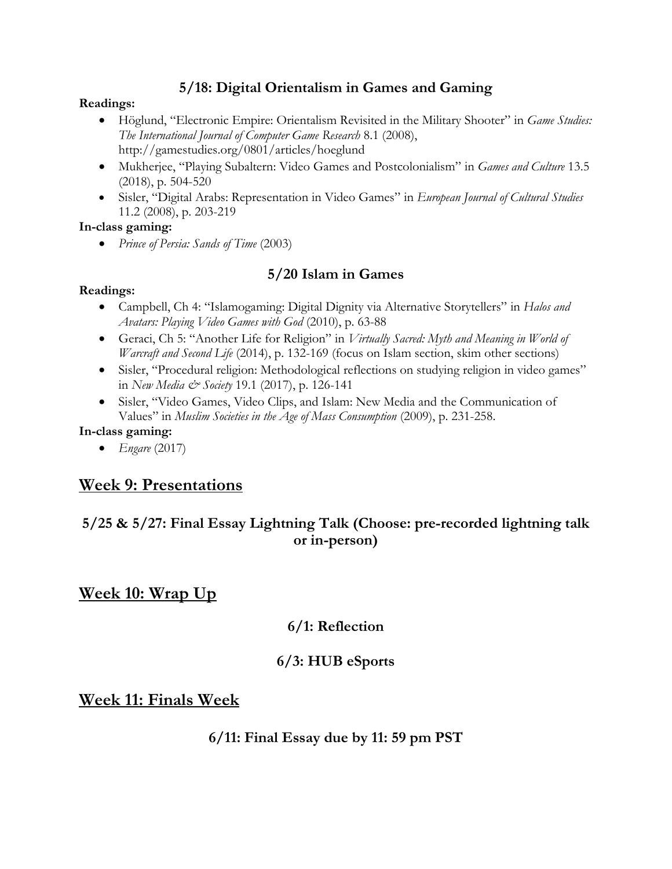### **5/18: Digital Orientalism in Games and Gaming**

#### **Readings:**

- Höglund, "Electronic Empire: Orientalism Revisited in the Military Shooter" in *Game Studies: The International Journal of Computer Game Research* 8.1 (2008), http://gamestudies.org/0801/articles/hoeglund
- Mukherjee, "Playing Subaltern: Video Games and Postcolonialism" in *Games and Culture* 13.5 (2018), p. 504-520
- Sisler, "Digital Arabs: Representation in Video Games" in *European Journal of Cultural Studies*  11.2 (2008), p. 203-219

#### **In-class gaming:**

• *Prince of Persia: Sands of Time* (2003)

### **5/20 Islam in Games**

#### **Readings:**

- Campbell, Ch 4: "Islamogaming: Digital Dignity via Alternative Storytellers" in *Halos and Avatars: Playing Video Games with God* (2010), p. 63-88
- Geraci, Ch 5: "Another Life for Religion" in *Virtually Sacred: Myth and Meaning in World of Warcraft and Second Life* (2014), p. 132-169 (focus on Islam section, skim other sections)
- Sisler, "Procedural religion: Methodological reflections on studying religion in video games" in *New Media & Society* 19.1 (2017), p. 126-141
- Sisler, "Video Games, Video Clips, and Islam: New Media and the Communication of Values" in *Muslim Societies in the Age of Mass Consumption* (2009), p. 231-258.

#### **In-class gaming:**

• *Engare* (2017)

## **Week 9: Presentations**

## **5/25 & 5/27: Final Essay Lightning Talk (Choose: pre-recorded lightning talk or in-person)**

**Week 10: Wrap Up**

### **6/1: Reflection**

### **6/3: HUB eSports**

### **Week 11: Finals Week**

**6/11: Final Essay due by 11: 59 pm PST**